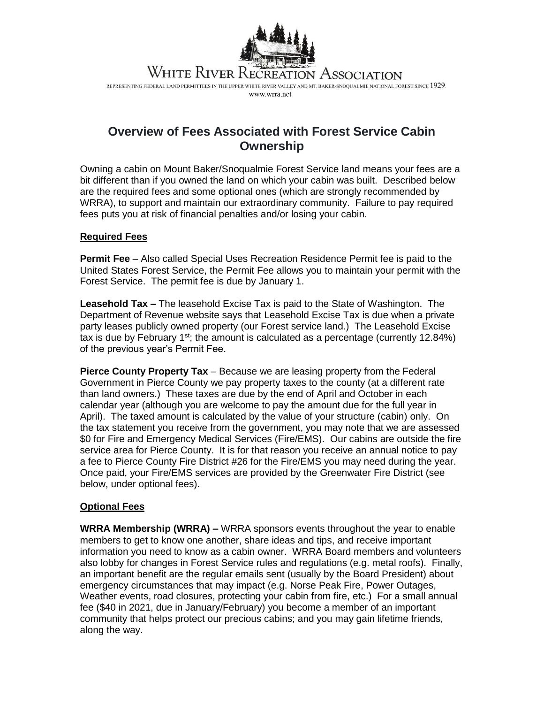

REPRESENTING FEDERAL LAND PERMITTEES IN THE UPPER WHITE RIVER VALLEY AND MT. BAKER-SNOQUALMIE NATIONAL FOREST SINCE 1929. www.wrra.net

## **Overview of Fees Associated with Forest Service Cabin Ownership**

Owning a cabin on Mount Baker/Snoqualmie Forest Service land means your fees are a bit different than if you owned the land on which your cabin was built. Described below are the required fees and some optional ones (which are strongly recommended by WRRA), to support and maintain our extraordinary community. Failure to pay required fees puts you at risk of financial penalties and/or losing your cabin.

## **Required Fees**

**Permit Fee** – Also called Special Uses Recreation Residence Permit fee is paid to the United States Forest Service, the Permit Fee allows you to maintain your permit with the Forest Service. The permit fee is due by January 1.

**Leasehold Tax –** The leasehold Excise Tax is paid to the State of Washington. The Department of Revenue website says that Leasehold Excise Tax is due when a private party leases publicly owned property (our Forest service land.) The Leasehold Excise tax is due by February  $1^{st}$ ; the amount is calculated as a percentage (currently 12.84%) of the previous year's Permit Fee.

**Pierce County Property Tax** – Because we are leasing property from the Federal Government in Pierce County we pay property taxes to the county (at a different rate than land owners.) These taxes are due by the end of April and October in each calendar year (although you are welcome to pay the amount due for the full year in April). The taxed amount is calculated by the value of your structure (cabin) only. On the tax statement you receive from the government, you may note that we are assessed \$0 for Fire and Emergency Medical Services (Fire/EMS). Our cabins are outside the fire service area for Pierce County. It is for that reason you receive an annual notice to pay a fee to Pierce County Fire District #26 for the Fire/EMS you may need during the year. Once paid, your Fire/EMS services are provided by the Greenwater Fire District (see below, under optional fees).

## **Optional Fees**

**WRRA Membership (WRRA) –** WRRA sponsors events throughout the year to enable members to get to know one another, share ideas and tips, and receive important information you need to know as a cabin owner. WRRA Board members and volunteers also lobby for changes in Forest Service rules and regulations (e.g. metal roofs). Finally, an important benefit are the regular emails sent (usually by the Board President) about emergency circumstances that may impact (e.g. Norse Peak Fire, Power Outages, Weather events, road closures, protecting your cabin from fire, etc.) For a small annual fee (\$40 in 2021, due in January/February) you become a member of an important community that helps protect our precious cabins; and you may gain lifetime friends, along the way.